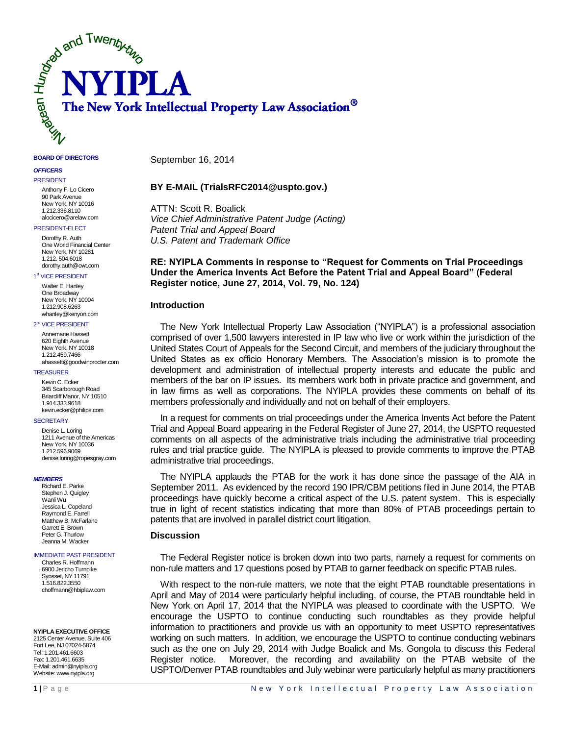

#### **BOARD OF DIRECTORS**

#### *OFFICERS*

PRESIDENT Anthony F. Lo Cicero 90 Park Avenue New York, NY 10016 1.212.336.8110

# alocicero@arelaw.com

PRESIDENT-ELECT

Dorothy R. Auth One World Financial Center New York, NY 10281 1.212. 504.6018 dorothy.auth@cwt.com

#### 1<sup>st</sup> VICE PRESIDENT

Walter E. Hanley One Broadway New York, NY 10004 1.212.908.6263 whanley@kenyon.com

#### 2<sup>nd</sup> VICE PRESIDENT

Annemarie Hassett 620 Eighth Avenue New York, NY 10018 1.212.459.7466 ahassett@goodwinprocter.com

#### TREASURER

Kevin C. Ecker 345 Scarborough Road Briarcliff Manor, NY 10510 1.914.333.9618 kevin.ecker@philips.com

#### **SECRETARY**

Denise L. Loring 1211 Avenue of the Americas New York, NY 10036 1.212.596.9069 denise.loring@ropesgray.com

#### *MEMBERS*

Richard E. Parke Stephen J. Quigley Wanli Wu Jessica L. Copeland Raymond E. Farrell Matthew B. McFarlane Garrett E. Brown Peter G. Thurlow Jeanna M. Wacker

#### IMMEDIATE PAST PRESIDENT

Charles R. Hoffmann 6900 Jericho Turnpike Syosset, NY 11791 1.516.822.3550 choffmann@hbiplaw.com

**NYIPLA EXECUTIVE OFFICE**

2125 Center Avenue, Suite 406 Fort Lee, NJ 07024-5874 Tel: 1.201.461.6603 Fax: 1.201.461.6635 E-Mail: admin@nyipla.org Website: www.nyipla.org

September 16, 2014

### **BY E-MAIL (TrialsRFC2014@uspto.gov.)**

ATTN: Scott R. Boalick *Vice Chief Administrative Patent Judge (Acting) Patent Trial and Appeal Board U.S. Patent and Trademark Office*

# **RE: NYIPLA Comments in response to "Request for Comments on Trial Proceedings Under the America Invents Act Before the Patent Trial and Appeal Board" (Federal Register notice, June 27, 2014, Vol. 79, No. 124)**

# **Introduction**

The New York Intellectual Property Law Association ("NYIPLA") is a professional association comprised of over 1,500 lawyers interested in IP law who live or work within the jurisdiction of the United States Court of Appeals for the Second Circuit, and members of the judiciary throughout the United States as ex officio Honorary Members. The Association's mission is to promote the development and administration of intellectual property interests and educate the public and members of the bar on IP issues. Its members work both in private practice and government, and in law firms as well as corporations. The NYIPLA provides these comments on behalf of its members professionally and individually and not on behalf of their employers.

In a request for comments on trial proceedings under the America Invents Act before the Patent Trial and Appeal Board appearing in the Federal Register of June 27, 2014, the USPTO requested comments on all aspects of the administrative trials including the administrative trial proceeding rules and trial practice guide. The NYIPLA is pleased to provide comments to improve the PTAB administrative trial proceedings.

The NYIPLA applauds the PTAB for the work it has done since the passage of the AIA in September 2011. As evidenced by the record 190 IPR/CBM petitions filed in June 2014, the PTAB proceedings have quickly become a critical aspect of the U.S. patent system. This is especially true in light of recent statistics indicating that more than 80% of PTAB proceedings pertain to patents that are involved in parallel district court litigation.

## **Discussion**

The Federal Register notice is broken down into two parts, namely a request for comments on non-rule matters and 17 questions posed by PTAB to garner feedback on specific PTAB rules.

With respect to the non-rule matters, we note that the eight PTAB roundtable presentations in April and May of 2014 were particularly helpful including, of course, the PTAB roundtable held in New York on April 17, 2014 that the NYIPLA was pleased to coordinate with the USPTO. We encourage the USPTO to continue conducting such roundtables as they provide helpful information to practitioners and provide us with an opportunity to meet USPTO representatives working on such matters. In addition, we encourage the USPTO to continue conducting webinars such as the one on July 29, 2014 with Judge Boalick and Ms. Gongola to discuss this Federal Register notice. Moreover, the recording and availability on the PTAB website of the USPTO/Denver PTAB roundtables and July webinar were particularly helpful as many practitioners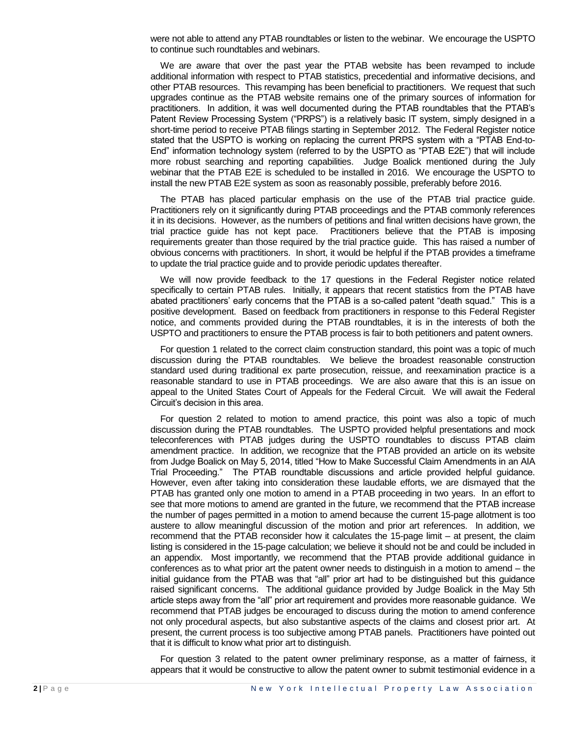were not able to attend any PTAB roundtables or listen to the webinar. We encourage the USPTO to continue such roundtables and webinars.

We are aware that over the past year the PTAB website has been revamped to include additional information with respect to PTAB statistics, precedential and informative decisions, and other PTAB resources. This revamping has been beneficial to practitioners. We request that such upgrades continue as the PTAB website remains one of the primary sources of information for practitioners. In addition, it was well documented during the PTAB roundtables that the PTAB's Patent Review Processing System ("PRPS") is a relatively basic IT system, simply designed in a short-time period to receive PTAB filings starting in September 2012. The Federal Register notice stated that the USPTO is working on replacing the current PRPS system with a "PTAB End-to-End" information technology system (referred to by the USPTO as "PTAB E2E") that will include more robust searching and reporting capabilities. Judge Boalick mentioned during the July webinar that the PTAB E2E is scheduled to be installed in 2016. We encourage the USPTO to install the new PTAB E2E system as soon as reasonably possible, preferably before 2016.

The PTAB has placed particular emphasis on the use of the PTAB trial practice guide. Practitioners rely on it significantly during PTAB proceedings and the PTAB commonly references it in its decisions. However, as the numbers of petitions and final written decisions have grown, the trial practice guide has not kept pace. Practitioners believe that the PTAB is imposing requirements greater than those required by the trial practice guide. This has raised a number of obvious concerns with practitioners. In short, it would be helpful if the PTAB provides a timeframe to update the trial practice guide and to provide periodic updates thereafter.

We will now provide feedback to the 17 questions in the Federal Register notice related specifically to certain PTAB rules. Initially, it appears that recent statistics from the PTAB have abated practitioners' early concerns that the PTAB is a so-called patent "death squad." This is a positive development. Based on feedback from practitioners in response to this Federal Register notice, and comments provided during the PTAB roundtables, it is in the interests of both the USPTO and practitioners to ensure the PTAB process is fair to both petitioners and patent owners.

For question 1 related to the correct claim construction standard, this point was a topic of much discussion during the PTAB roundtables. We believe the broadest reasonable construction standard used during traditional ex parte prosecution, reissue, and reexamination practice is a reasonable standard to use in PTAB proceedings. We are also aware that this is an issue on appeal to the United States Court of Appeals for the Federal Circuit. We will await the Federal Circuit's decision in this area.

For question 2 related to motion to amend practice, this point was also a topic of much discussion during the PTAB roundtables. The USPTO provided helpful presentations and mock teleconferences with PTAB judges during the USPTO roundtables to discuss PTAB claim amendment practice. In addition, we recognize that the PTAB provided an article on its website from Judge Boalick on May 5, 2014, titled "How to Make Successful Claim Amendments in an AIA Trial Proceeding." The PTAB roundtable discussions and article provided helpful guidance. However, even after taking into consideration these laudable efforts, we are dismayed that the PTAB has granted only one motion to amend in a PTAB proceeding in two years. In an effort to see that more motions to amend are granted in the future, we recommend that the PTAB increase the number of pages permitted in a motion to amend because the current 15-page allotment is too austere to allow meaningful discussion of the motion and prior art references. In addition, we recommend that the PTAB reconsider how it calculates the 15-page limit – at present, the claim listing is considered in the 15-page calculation; we believe it should not be and could be included in an appendix. Most importantly, we recommend that the PTAB provide additional guidance in conferences as to what prior art the patent owner needs to distinguish in a motion to amend – the initial guidance from the PTAB was that "all" prior art had to be distinguished but this guidance raised significant concerns. The additional guidance provided by Judge Boalick in the May 5th article steps away from the "all" prior art requirement and provides more reasonable guidance. We recommend that PTAB judges be encouraged to discuss during the motion to amend conference not only procedural aspects, but also substantive aspects of the claims and closest prior art. At present, the current process is too subjective among PTAB panels. Practitioners have pointed out that it is difficult to know what prior art to distinguish.

For question 3 related to the patent owner preliminary response, as a matter of fairness, it appears that it would be constructive to allow the patent owner to submit testimonial evidence in a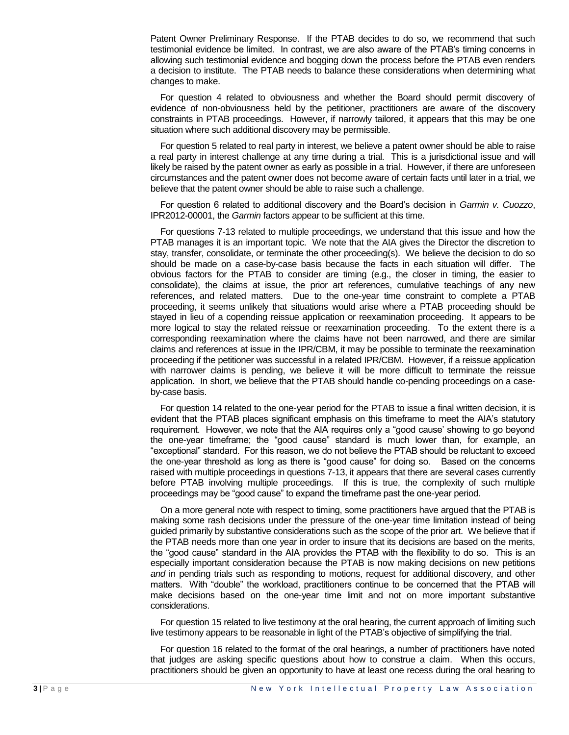Patent Owner Preliminary Response. If the PTAB decides to do so, we recommend that such testimonial evidence be limited. In contrast, we are also aware of the PTAB's timing concerns in allowing such testimonial evidence and bogging down the process before the PTAB even renders a decision to institute. The PTAB needs to balance these considerations when determining what changes to make.

For question 4 related to obviousness and whether the Board should permit discovery of evidence of non-obviousness held by the petitioner, practitioners are aware of the discovery constraints in PTAB proceedings. However, if narrowly tailored, it appears that this may be one situation where such additional discovery may be permissible.

For question 5 related to real party in interest, we believe a patent owner should be able to raise a real party in interest challenge at any time during a trial. This is a jurisdictional issue and will likely be raised by the patent owner as early as possible in a trial. However, if there are unforeseen circumstances and the patent owner does not become aware of certain facts until later in a trial, we believe that the patent owner should be able to raise such a challenge.

For question 6 related to additional discovery and the Board's decision in *Garmin v. Cuozzo*, IPR2012-00001, the *Garmin* factors appear to be sufficient at this time.

For questions 7-13 related to multiple proceedings, we understand that this issue and how the PTAB manages it is an important topic. We note that the AIA gives the Director the discretion to stay, transfer, consolidate, or terminate the other proceeding(s). We believe the decision to do so should be made on a case-by-case basis because the facts in each situation will differ. The obvious factors for the PTAB to consider are timing (e.g., the closer in timing, the easier to consolidate), the claims at issue, the prior art references, cumulative teachings of any new references, and related matters. Due to the one-year time constraint to complete a PTAB proceeding, it seems unlikely that situations would arise where a PTAB proceeding should be stayed in lieu of a copending reissue application or reexamination proceeding. It appears to be more logical to stay the related reissue or reexamination proceeding. To the extent there is a corresponding reexamination where the claims have not been narrowed, and there are similar claims and references at issue in the IPR/CBM, it may be possible to terminate the reexamination proceeding if the petitioner was successful in a related IPR/CBM. However, if a reissue application with narrower claims is pending, we believe it will be more difficult to terminate the reissue application. In short, we believe that the PTAB should handle co-pending proceedings on a caseby-case basis.

For question 14 related to the one-year period for the PTAB to issue a final written decision, it is evident that the PTAB places significant emphasis on this timeframe to meet the AIA's statutory requirement. However, we note that the AIA requires only a "good cause' showing to go beyond the one-year timeframe; the "good cause" standard is much lower than, for example, an "exceptional" standard. For this reason, we do not believe the PTAB should be reluctant to exceed the one-year threshold as long as there is "good cause" for doing so. Based on the concerns raised with multiple proceedings in questions 7-13, it appears that there are several cases currently before PTAB involving multiple proceedings. If this is true, the complexity of such multiple proceedings may be "good cause" to expand the timeframe past the one-year period.

On a more general note with respect to timing, some practitioners have argued that the PTAB is making some rash decisions under the pressure of the one-year time limitation instead of being guided primarily by substantive considerations such as the scope of the prior art. We believe that if the PTAB needs more than one year in order to insure that its decisions are based on the merits, the "good cause" standard in the AIA provides the PTAB with the flexibility to do so. This is an especially important consideration because the PTAB is now making decisions on new petitions *and* in pending trials such as responding to motions, request for additional discovery, and other matters. With "double" the workload, practitioners continue to be concerned that the PTAB will make decisions based on the one-year time limit and not on more important substantive considerations.

For question 15 related to live testimony at the oral hearing, the current approach of limiting such live testimony appears to be reasonable in light of the PTAB's objective of simplifying the trial.

For question 16 related to the format of the oral hearings, a number of practitioners have noted that judges are asking specific questions about how to construe a claim. When this occurs, practitioners should be given an opportunity to have at least one recess during the oral hearing to